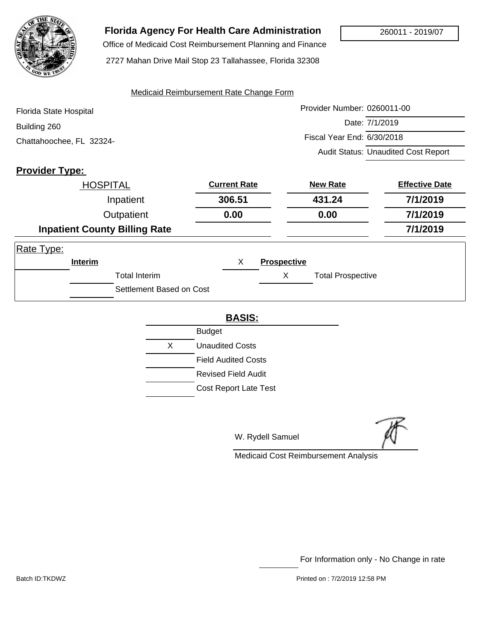

# **Florida Agency For Health Care Administration**

 Office of Medicaid Cost Reimbursement Planning and Finance 2727 Mahan Drive Mail Stop 23 Tallahassee, Florida 32308

#### Medicaid Reimbursement Rate Change Form

| Florida State Hospital   | Provider Number: 0260011-00                |
|--------------------------|--------------------------------------------|
| Building 260             | Date: 7/1/2019                             |
| Chattahoochee, FL 32324- | Fiscal Year End: 6/30/2018                 |
|                          | <b>Audit Status: Unaudited Cost Report</b> |

### **Provider Type:**

|            | <b>HOSPITAL</b>    |                                      | <b>Current Rate</b> |                    | <b>New Rate</b>          | <b>Effective Date</b> |
|------------|--------------------|--------------------------------------|---------------------|--------------------|--------------------------|-----------------------|
|            |                    | Inpatient                            | 306.51              |                    | 431.24                   | 7/1/2019              |
|            | Outpatient<br>0.00 |                                      |                     | 0.00               | 7/1/2019                 |                       |
|            |                    | <b>Inpatient County Billing Rate</b> |                     |                    |                          | 7/1/2019              |
| Rate Type: |                    |                                      |                     |                    |                          |                       |
|            | <b>Interim</b>     |                                      | X                   | <b>Prospective</b> |                          |                       |
|            |                    | <b>Total Interim</b>                 |                     | X                  | <b>Total Prospective</b> |                       |
|            |                    | Settlement Based on Cost             |                     |                    |                          |                       |

#### **BASIS:**

|    | <b>Budget</b>                |
|----|------------------------------|
| X. | Unaudited Costs              |
|    | <b>Field Audited Costs</b>   |
|    | Revised Field Audit          |
|    | <b>Cost Report Late Test</b> |

W. Rydell Samuel

Medicaid Cost Reimbursement Analysis

For Information only - No Change in rate

Batch ID:TKDWZ Printed on : 7/2/2019 12:58 PM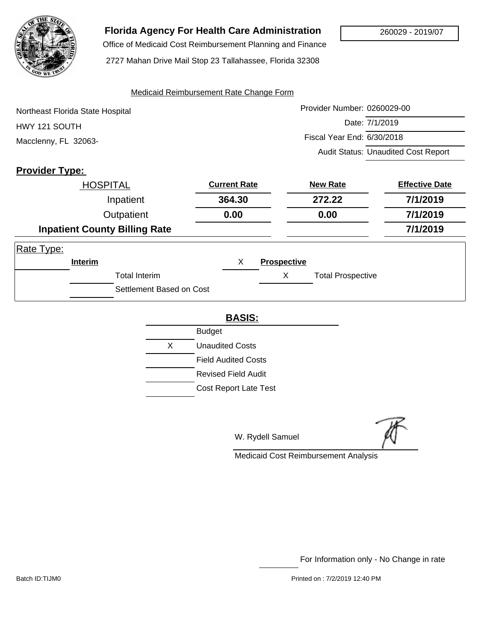

## **Florida Agency For Health Care Administration**

 Office of Medicaid Cost Reimbursement Planning and Finance 2727 Mahan Drive Mail Stop 23 Tallahassee, Florida 32308

#### Medicaid Reimbursement Rate Change Form

| Northeast Florida State Hospital | Provider Number: 0260029-00                |
|----------------------------------|--------------------------------------------|
| HWY 121 SOUTH                    | Date: 7/1/2019                             |
| Macclenny, FL 32063-             | Fiscal Year End: 6/30/2018                 |
|                                  | <b>Audit Status: Unaudited Cost Report</b> |

### **Provider Type:**

|            | <b>HOSPITAL</b> |                                      | <b>Current Rate</b> |                    | <b>New Rate</b>          | <b>Effective Date</b> |
|------------|-----------------|--------------------------------------|---------------------|--------------------|--------------------------|-----------------------|
|            | Inpatient       |                                      | 364.30              |                    | 272.22                   | 7/1/2019              |
| Outpatient |                 | 0.00                                 | 0.00                |                    | 7/1/2019                 |                       |
|            |                 | <b>Inpatient County Billing Rate</b> |                     |                    |                          | 7/1/2019              |
| Rate Type: |                 |                                      |                     |                    |                          |                       |
|            | Interim         |                                      | X                   | <b>Prospective</b> |                          |                       |
|            |                 | <b>Total Interim</b>                 |                     | X                  | <b>Total Prospective</b> |                       |
|            |                 | Settlement Based on Cost             |                     |                    |                          |                       |

#### **BASIS:**

|   | <b>Budget</b>                |
|---|------------------------------|
| X | <b>Unaudited Costs</b>       |
|   | <b>Field Audited Costs</b>   |
|   | Revised Field Audit          |
|   | <b>Cost Report Late Test</b> |

W. Rydell Samuel

Medicaid Cost Reimbursement Analysis

For Information only - No Change in rate

Batch ID:TIJM0 **Printed on : 7/2/2019 12:40 PM**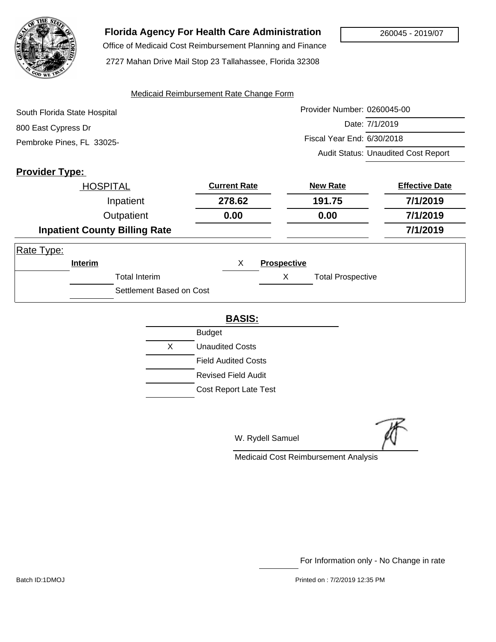

## **Florida Agency For Health Care Administration**

Office of Medicaid Cost Reimbursement Planning and Finance

2727 Mahan Drive Mail Stop 23 Tallahassee, Florida 32308

#### Medicaid Reimbursement Rate Change Form

| South Florida State Hospital | Provider Number: 0260045-00                |
|------------------------------|--------------------------------------------|
| 800 East Cypress Dr          | Date: 7/1/2019                             |
| Pembroke Pines, FL 33025-    | Fiscal Year End: 6/30/2018                 |
|                              | <b>Audit Status: Unaudited Cost Report</b> |

### **Provider Type:**

|            | <b>HOSPITAL</b> |                                      | <b>Current Rate</b> |                    | <b>New Rate</b>          | <b>Effective Date</b> |
|------------|-----------------|--------------------------------------|---------------------|--------------------|--------------------------|-----------------------|
|            |                 | Inpatient                            | 278.62              |                    | 191.75                   | 7/1/2019              |
|            |                 | Outpatient                           | 0.00                |                    | 0.00                     | 7/1/2019              |
|            |                 | <b>Inpatient County Billing Rate</b> |                     |                    |                          | 7/1/2019              |
| Rate Type: |                 |                                      |                     |                    |                          |                       |
|            | <b>Interim</b>  |                                      | X                   | <b>Prospective</b> |                          |                       |
|            |                 | <b>Total Interim</b>                 |                     | Х                  | <b>Total Prospective</b> |                       |
|            |                 | Settlement Based on Cost             |                     |                    |                          |                       |

#### **BASIS:**

|   | Budget                       |
|---|------------------------------|
| X | Unaudited Costs              |
|   | <b>Field Audited Costs</b>   |
|   | Revised Field Audit          |
|   | <b>Cost Report Late Test</b> |
|   |                              |

W. Rydell Samuel

Medicaid Cost Reimbursement Analysis

For Information only - No Change in rate

Batch ID:1DMOJ Printed on : 7/2/2019 12:35 PM